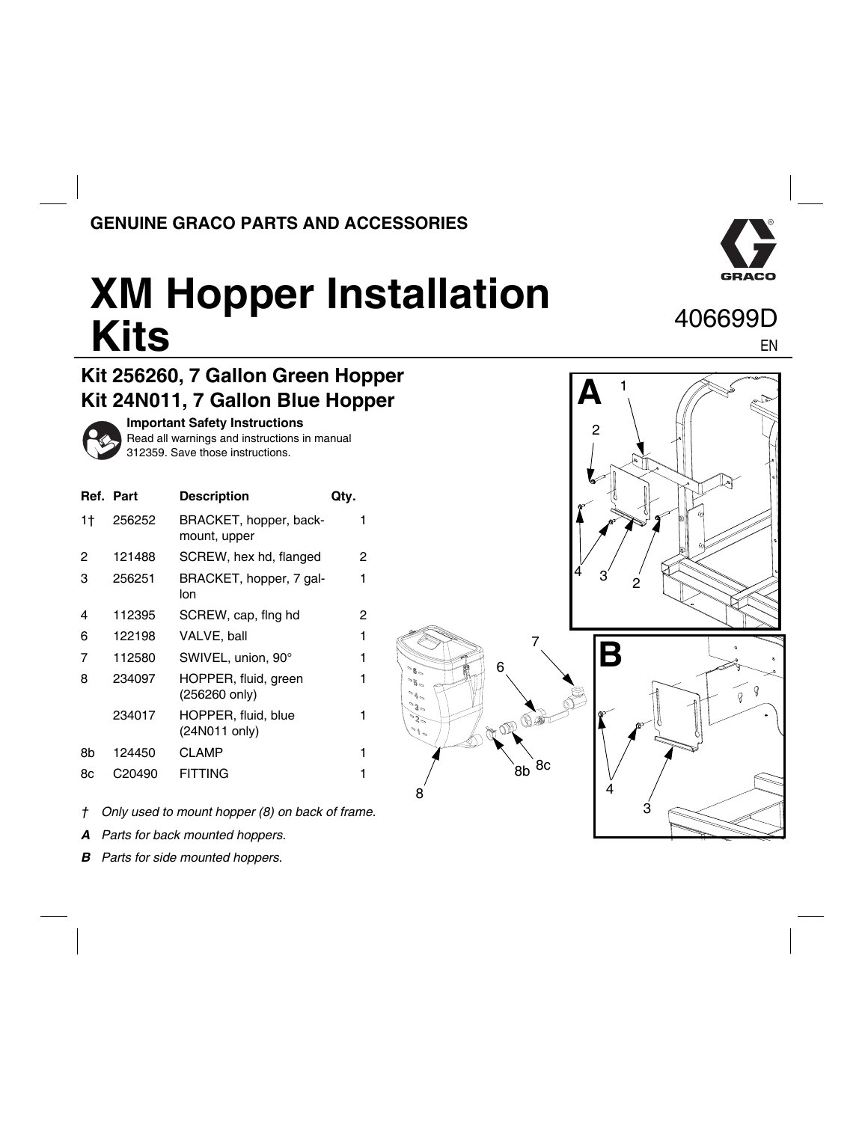## **GENUINE GRACO PARTS AND ACCESSORIES**



EN

## **XM Hopper Installation Kits** 406699D

## **Kit 256260, 7 Gallon Green Hopper Kit 24N011, 7 Gallon Blue Hopper**



**Important Safety Instructions**

Read all warnings and instructions in manual 312359. Save those instructions.

|    | Ref. Part | <b>Description</b>                     | Qty. |
|----|-----------|----------------------------------------|------|
| 1† | 256252    | BRACKET, hopper, back-<br>mount, upper | 1    |
| 2  | 121488    | SCREW, hex hd, flanged                 | 2    |
| 3  | 256251    | BRACKET, hopper, 7 gal-<br>lon         | 1    |
| 4  | 112395    | SCREW, cap, fing hd                    | 2    |
| 6  | 122198    | VALVE, ball                            | 1    |
| 7  | 112580    | SWIVEL, union, 90°                     | 1    |
| 8  | 234097    | HOPPER, fluid, green<br>(256260 only)  | 1    |
|    | 234017    | HOPPER, fluid, blue<br>(24N011 only)   | 1    |
| 8h | 124450    | <b>CLAMP</b>                           | 1    |
| 8с | C20490    | <b>FITTING</b>                         | 1    |
|    |           |                                        |      |



*A Parts for back mounted hoppers.*

*B Parts for side mounted hoppers.*